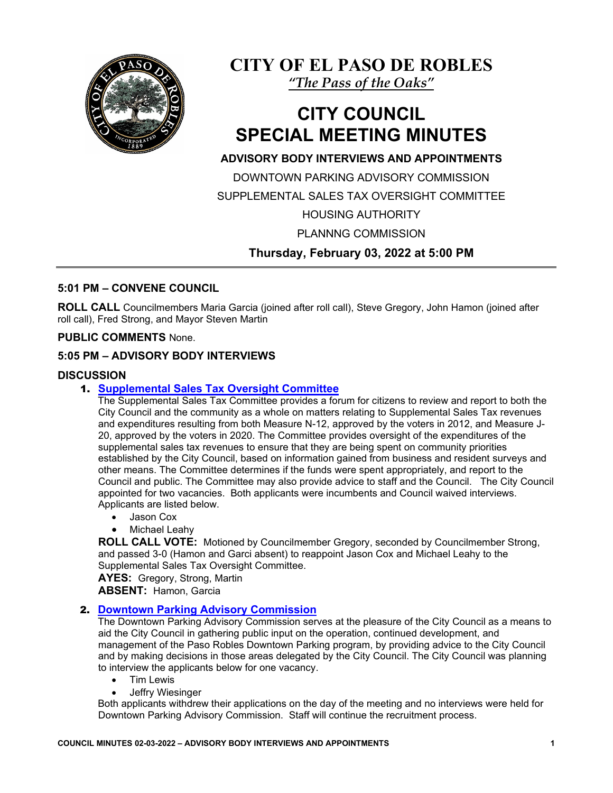

**CITY OF EL PASO DE ROBLES**

*"The Pass of the Oaks"*

# **CITY COUNCIL SPECIAL MEETING MINUTES**

# **ADVISORY BODY INTERVIEWS AND APPOINTMENTS**

DOWNTOWN PARKING ADVISORY COMMISSION SUPPLEMENTAL SALES TAX OVERSIGHT COMMITTEE

HOUSING AUTHORITY

PLANNNG COMMISSION

**Thursday, February 03, 2022 at 5:00 PM**

## **5:01 PM – CONVENE COUNCIL**

**ROLL CALL** Councilmembers Maria Garcia (joined after roll call), Steve Gregory, John Hamon (joined after roll call), Fred Strong, and Mayor Steven Martin

### **PUBLIC COMMENTS** None.

### **5:05 PM – ADVISORY BODY INTERVIEWS**

### **DISCUSSION**

### 1. **[Supplemental Sales Tax Oversight Committee](https://www.prcity.com/DocumentCenter/View/33116/February-3-2022-City-Council-Special-Agenda-Item-01-PDF)**

The Supplemental Sales Tax Committee provides a forum for citizens to review and report to both the City Council and the community as a whole on matters relating to Supplemental Sales Tax revenues and expenditures resulting from both Measure N-12, approved by the voters in 2012, and Measure J-20, approved by the voters in 2020. The Committee provides oversight of the expenditures of the supplemental sales tax revenues to ensure that they are being spent on community priorities established by the City Council, based on information gained from business and resident surveys and other means. The Committee determines if the funds were spent appropriately, and report to the Council and public. The Committee may also provide advice to staff and the Council. The City Council appointed for two vacancies. Both applicants were incumbents and Council waived interviews. Applicants are listed below.

- Jason Cox
- Michael Leahy

**ROLL CALL VOTE:** Motioned by Councilmember Gregory, seconded by Councilmember Strong, and passed 3-0 (Hamon and Garci absent) to reappoint Jason Cox and Michael Leahy to the Supplemental Sales Tax Oversight Committee.

**AYES:** Gregory, Strong, Martin **ABSENT:** Hamon, Garcia

#### 2. **[Downtown Parking Advisory Commission](https://www.prcity.com/DocumentCenter/View/33117/February-3-2022-City-Council-Special-Agenda-Item-02-PDF)**

The Downtown Parking Advisory Commission serves at the pleasure of the City Council as a means to aid the City Council in gathering public input on the operation, continued development, and management of the Paso Robles Downtown Parking program, by providing advice to the City Council and by making decisions in those areas delegated by the City Council. The City Council was planning to interview the applicants below for one vacancy.

- Tim Lewis
- Jeffry Wiesinger

Both applicants withdrew their applications on the day of the meeting and no interviews were held for Downtown Parking Advisory Commission. Staff will continue the recruitment process.